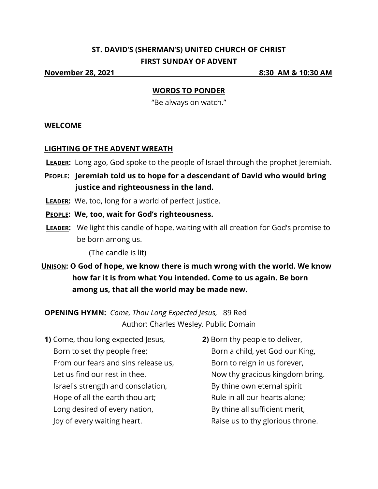# **ST. DAVID'S (SHERMAN'S) UNITED CHURCH OF CHRIST FIRST SUNDAY OF ADVENT**

**November 28, 2021 8:30 AM & 10:30 AM**

### **WORDS TO PONDER**

"Be always on watch."

### **WELCOME**

### **LIGHTING OF THE ADVENT WREATH**

- **LEADER:** Long ago, God spoke to the people of Israel through the prophet Jeremiah.
- **PEOPLE: Jeremiah told us to hope for a descendant of David who would bring justice and righteousness in the land.**
- **LEADER:** We, too, long for a world of perfect justice.
- **PEOPLE: We, too, wait for God's righteousness.**
- **LEADER:** We light this candle of hope, waiting with all creation for God's promise to be born among us.

(The candle is lit)

**UNISON: O God of hope, we know there is much wrong with the world. We know how far it is from what You intended. Come to us again. Be born among us, that all the world may be made new.** 

**OPENING HYMN:** *Come, Thou Long Expected Jesus,* 89 Red Author: Charles Wesley. Public Domain

- **1)** Come, thou long expected Jesus, Born to set thy people free; From our fears and sins release us, Let us find our rest in thee. Israel's strength and consolation, Hope of all the earth thou art; Long desired of every nation, Joy of every waiting heart.
- **2)** Born thy people to deliver, Born a child, yet God our King, Born to reign in us forever, Now thy gracious kingdom bring. By thine own eternal spirit Rule in all our hearts alone; By thine all sufficient merit, Raise us to thy glorious throne.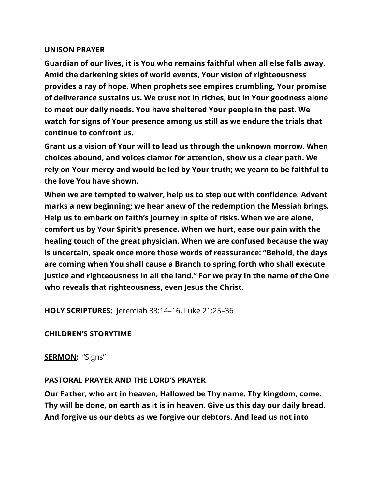#### **UNISON PRAYER**

**Guardian of our lives, it is You who remains faithful when all else falls away. Amid the darkening skies of world events, Your vision of righteousness provides a ray of hope. When prophets see empires crumbling, Your promise of deliverance sustains us. We trust not in riches, but in Your goodness alone to meet our daily needs. You have sheltered Your people in the past. We watch for signs of Your presence among us still as we endure the trials that continue to confront us.**

**Grant us a vision of Your will to lead us through the unknown morrow. When choices abound, and voices clamor for attention, show us a clear path. We rely on Your mercy and would be led by Your truth; we yearn to be faithful to the love You have shown.**

**When we are tempted to waiver, help us to step out with confidence. Advent marks a new beginning; we hear anew of the redemption the Messiah brings. Help us to embark on faith's journey in spite of risks. When we are alone, comfort us by Your Spirit's presence. When we hurt, ease our pain with the healing touch of the great physician. When we are confused because the way is uncertain, speak once more those words of reassurance: "Behold, the days are coming when You shall cause a Branch to spring forth who shall execute justice and righteousness in all the land." For we pray in the name of the One who reveals that righteousness, even Jesus the Christ.**

**HOLY SCRIPTURES:** Jeremiah 33:14–16, Luke 21:25–36

### **CHILDREN'S STORYTIME**

### **SERMON:** "Signs"

## **PASTORAL PRAYER AND THE LORD'S PRAYER**

**Our Father, who art in heaven, Hallowed be Thy name. Thy kingdom, come. Thy will be done, on earth as it is in heaven. Give us this day our daily bread. And forgive us our debts as we forgive our debtors. And lead us not into**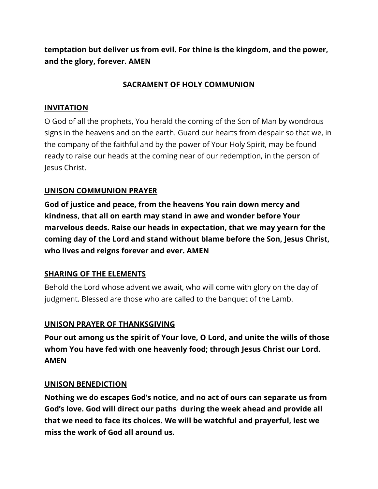**temptation but deliver us from evil. For thine is the kingdom, and the power, and the glory, forever. AMEN**

## **SACRAMENT OF HOLY COMMUNION**

## **INVITATION**

O God of all the prophets, You herald the coming of the Son of Man by wondrous signs in the heavens and on the earth. Guard our hearts from despair so that we, in the company of the faithful and by the power of Your Holy Spirit, may be found ready to raise our heads at the coming near of our redemption, in the person of Jesus Christ.

## **UNISON COMMUNION PRAYER**

**God of justice and peace, from the heavens You rain down mercy and kindness, that all on earth may stand in awe and wonder before Your marvelous deeds. Raise our heads in expectation, that we may yearn for the coming day of the Lord and stand without blame before the Son, Jesus Christ, who lives and reigns forever and ever. AMEN**

## **SHARING OF THE ELEMENTS**

Behold the Lord whose advent we await, who will come with glory on the day of judgment. Blessed are those who are called to the banquet of the Lamb.

## **UNISON PRAYER OF THANKSGIVING**

**Pour out among us the spirit of Your love, O Lord, and unite the wills of those whom You have fed with one heavenly food; through Jesus Christ our Lord. AMEN**

### **UNISON BENEDICTION**

**Nothing we do escapes God's notice, and no act of ours can separate us from God's love. God will direct our paths during the week ahead and provide all that we need to face its choices. We will be watchful and prayerful, lest we miss the work of God all around us.**